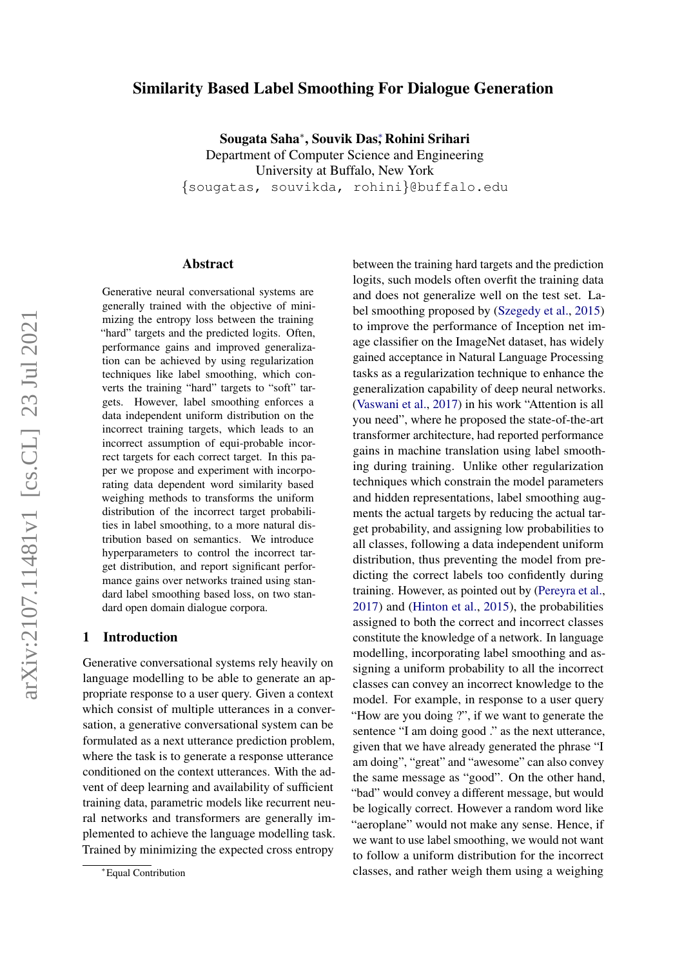## Similarity Based Label Smoothing For Dialogue Generation

Sougata Saha<sup>∗</sup> , Souvik Das<sup>∗</sup> , Rohini Srihari Department of Computer Science and Engineering University at Buffalo, New York

{sougatas, souvikda, rohini}@buffalo.edu

#### Abstract

Generative neural conversational systems are generally trained with the objective of minimizing the entropy loss between the training "hard" targets and the predicted logits. Often, performance gains and improved generalization can be achieved by using regularization techniques like label smoothing, which converts the training "hard" targets to "soft" targets. However, label smoothing enforces a data independent uniform distribution on the incorrect training targets, which leads to an incorrect assumption of equi-probable incorrect targets for each correct target. In this paper we propose and experiment with incorporating data dependent word similarity based weighing methods to transforms the uniform distribution of the incorrect target probabilities in label smoothing, to a more natural distribution based on semantics. We introduce hyperparameters to control the incorrect target distribution, and report significant performance gains over networks trained using standard label smoothing based loss, on two standard open domain dialogue corpora.

#### 1 Introduction

Generative conversational systems rely heavily on language modelling to be able to generate an appropriate response to a user query. Given a context which consist of multiple utterances in a conversation, a generative conversational system can be formulated as a next utterance prediction problem, where the task is to generate a response utterance conditioned on the context utterances. With the advent of deep learning and availability of sufficient training data, parametric models like recurrent neural networks and transformers are generally implemented to achieve the language modelling task. Trained by minimizing the expected cross entropy

between the training hard targets and the prediction logits, such models often overfit the training data and does not generalize well on the test set. Label smoothing proposed by [\(Szegedy et al.,](#page-4-0) [2015\)](#page-4-0) to improve the performance of Inception net image classifier on the ImageNet dataset, has widely gained acceptance in Natural Language Processing tasks as a regularization technique to enhance the generalization capability of deep neural networks. [\(Vaswani et al.,](#page-4-1) [2017\)](#page-4-1) in his work "Attention is all you need", where he proposed the state-of-the-art transformer architecture, had reported performance gains in machine translation using label smoothing during training. Unlike other regularization techniques which constrain the model parameters and hidden representations, label smoothing augments the actual targets by reducing the actual target probability, and assigning low probabilities to all classes, following a data independent uniform distribution, thus preventing the model from predicting the correct labels too confidently during training. However, as pointed out by [\(Pereyra et al.,](#page-4-2) [2017\)](#page-4-2) and [\(Hinton et al.,](#page-4-3) [2015\)](#page-4-3), the probabilities assigned to both the correct and incorrect classes constitute the knowledge of a network. In language modelling, incorporating label smoothing and assigning a uniform probability to all the incorrect classes can convey an incorrect knowledge to the model. For example, in response to a user query "How are you doing ?", if we want to generate the sentence "I am doing good ." as the next utterance, given that we have already generated the phrase "I am doing", "great" and "awesome" can also convey the same message as "good". On the other hand, "bad" would convey a different message, but would be logically correct. However a random word like "aeroplane" would not make any sense. Hence, if we want to use label smoothing, we would not want to follow a uniform distribution for the incorrect classes, and rather weigh them using a weighing

<sup>∗</sup>Equal Contribution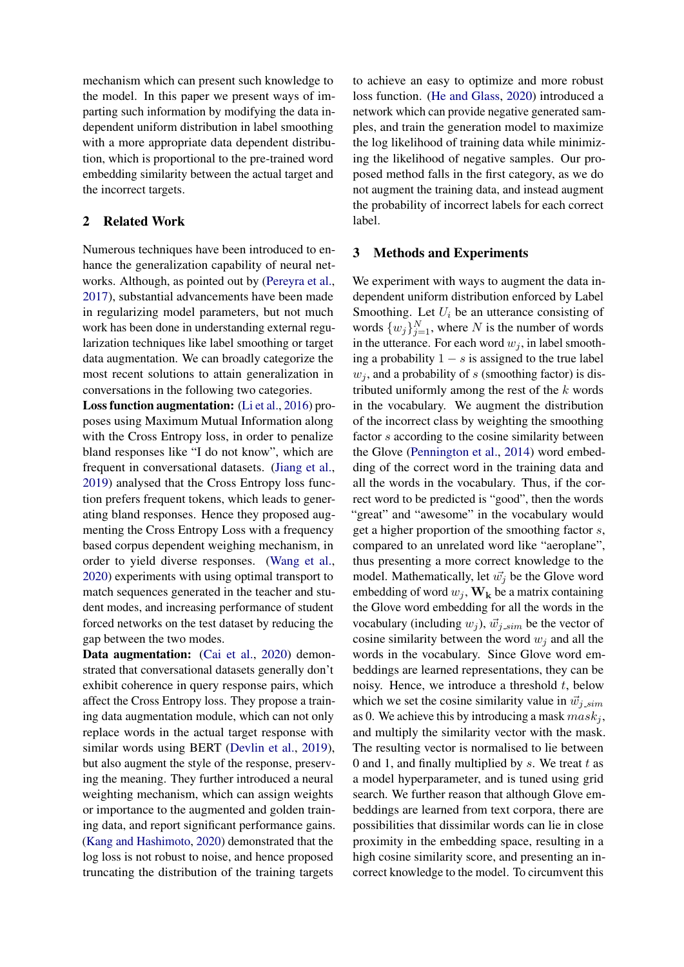mechanism which can present such knowledge to the model. In this paper we present ways of imparting such information by modifying the data independent uniform distribution in label smoothing with a more appropriate data dependent distribution, which is proportional to the pre-trained word embedding similarity between the actual target and the incorrect targets.

## 2 Related Work

Numerous techniques have been introduced to enhance the generalization capability of neural networks. Although, as pointed out by [\(Pereyra et al.,](#page-4-2) [2017\)](#page-4-2), substantial advancements have been made in regularizing model parameters, but not much work has been done in understanding external regularization techniques like label smoothing or target data augmentation. We can broadly categorize the most recent solutions to attain generalization in conversations in the following two categories.

Loss function augmentation: [\(Li et al.,](#page-4-4) [2016\)](#page-4-4) proposes using Maximum Mutual Information along with the Cross Entropy loss, in order to penalize bland responses like "I do not know", which are frequent in conversational datasets. [\(Jiang et al.,](#page-4-5) [2019\)](#page-4-5) analysed that the Cross Entropy loss function prefers frequent tokens, which leads to generating bland responses. Hence they proposed augmenting the Cross Entropy Loss with a frequency based corpus dependent weighing mechanism, in order to yield diverse responses. [\(Wang et al.,](#page-4-6) [2020\)](#page-4-6) experiments with using optimal transport to match sequences generated in the teacher and student modes, and increasing performance of student forced networks on the test dataset by reducing the gap between the two modes.

Data augmentation: [\(Cai et al.,](#page-4-7) [2020\)](#page-4-7) demonstrated that conversational datasets generally don't exhibit coherence in query response pairs, which affect the Cross Entropy loss. They propose a training data augmentation module, which can not only replace words in the actual target response with similar words using BERT [\(Devlin et al.,](#page-4-8) [2019\)](#page-4-8), but also augment the style of the response, preserving the meaning. They further introduced a neural weighting mechanism, which can assign weights or importance to the augmented and golden training data, and report significant performance gains. [\(Kang and Hashimoto,](#page-4-9) [2020\)](#page-4-9) demonstrated that the log loss is not robust to noise, and hence proposed truncating the distribution of the training targets to achieve an easy to optimize and more robust loss function. [\(He and Glass,](#page-4-10) [2020\)](#page-4-10) introduced a network which can provide negative generated samples, and train the generation model to maximize the log likelihood of training data while minimizing the likelihood of negative samples. Our proposed method falls in the first category, as we do not augment the training data, and instead augment the probability of incorrect labels for each correct label.

### 3 Methods and Experiments

We experiment with ways to augment the data independent uniform distribution enforced by Label Smoothing. Let  $U_i$  be an utterance consisting of words  $\{w_j\}_{j=1}^N$ , where N is the number of words in the utterance. For each word  $w_i$ , in label smoothing a probability  $1 - s$  is assigned to the true label  $w_i$ , and a probability of s (smoothing factor) is distributed uniformly among the rest of the  $k$  words in the vocabulary. We augment the distribution of the incorrect class by weighting the smoothing factor s according to the cosine similarity between the Glove [\(Pennington et al.,](#page-4-11) [2014\)](#page-4-11) word embedding of the correct word in the training data and all the words in the vocabulary. Thus, if the correct word to be predicted is "good", then the words "great" and "awesome" in the vocabulary would get a higher proportion of the smoothing factor s, compared to an unrelated word like "aeroplane", thus presenting a more correct knowledge to the model. Mathematically, let  $\vec{w_j}$  be the Glove word embedding of word  $w_j, \mathbf{W_k}$  be a matrix containing the Glove word embedding for all the words in the vocabulary (including  $w_j$ ),  $\vec{w}_{j,sim}$  be the vector of cosine similarity between the word  $w_i$  and all the words in the vocabulary. Since Glove word embeddings are learned representations, they can be noisy. Hence, we introduce a threshold  $t$ , below which we set the cosine similarity value in  $\vec{w}_i$  sim as 0. We achieve this by introducing a mask  $mask<sub>j</sub>$ , and multiply the similarity vector with the mask. The resulting vector is normalised to lie between 0 and 1, and finally multiplied by  $s$ . We treat  $t$  as a model hyperparameter, and is tuned using grid search. We further reason that although Glove embeddings are learned from text corpora, there are possibilities that dissimilar words can lie in close proximity in the embedding space, resulting in a high cosine similarity score, and presenting an incorrect knowledge to the model. To circumvent this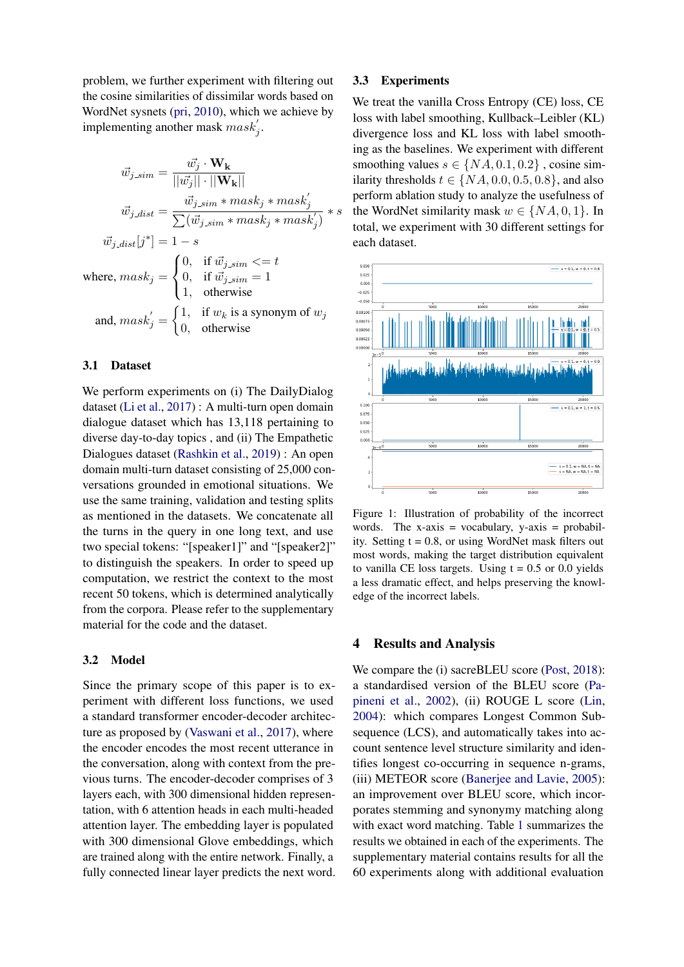problem, we further experiment with filtering out the cosine similarities of dissimilar words based on WordNet sysnets [\(pri,](#page-4-12) [2010\)](#page-4-12), which we achieve by implementing another mask  ${mask}'_j$ .

$$
\vec{w}_{j,sim} = \frac{\vec{w_j} \cdot \mathbf{W_k}}{||\vec{w_j}|| \cdot ||\mathbf{W_k}||}
$$

$$
\vec{w}_{j,dist} = \frac{\vec{w}_{j,sim} * mask_j * mask'_j}{\sum (\vec{w}_{j,sim} * mask_j * mask'_j)} * s
$$

$$
\vec{w}_{j,dist}[j^*] = 1 - s
$$
where, 
$$
mask_j = \begin{cases} 0, & \text{if } \vec{w}_{j,sim} <= t \\ 0, & \text{if } \vec{w}_{j,sim} = 1 \\ 1, & \text{otherwise} \end{cases}
$$
and, 
$$
mask'_j = \begin{cases} 1, & \text{if } w_k \text{ is a synonym of } w_j \\ 0, & \text{otherwise} \end{cases}
$$

#### 3.1 Dataset

We perform experiments on (i) The DailyDialog dataset [\(Li et al.,](#page-4-13) [2017\)](#page-4-13) : A multi-turn open domain dialogue dataset which has 13,118 pertaining to diverse day-to-day topics , and (ii) The Empathetic Dialogues dataset [\(Rashkin et al.,](#page-4-14) [2019\)](#page-4-14) : An open domain multi-turn dataset consisting of 25,000 conversations grounded in emotional situations. We use the same training, validation and testing splits as mentioned in the datasets. We concatenate all the turns in the query in one long text, and use two special tokens: "[speaker1]" and "[speaker2]" to distinguish the speakers. In order to speed up computation, we restrict the context to the most recent 50 tokens, which is determined analytically from the corpora. Please refer to the supplementary material for the code and the dataset.

#### 3.2 Model

Since the primary scope of this paper is to experiment with different loss functions, we used a standard transformer encoder-decoder architecture as proposed by [\(Vaswani et al.,](#page-4-1) [2017\)](#page-4-1), where the encoder encodes the most recent utterance in the conversation, along with context from the previous turns. The encoder-decoder comprises of 3 layers each, with 300 dimensional hidden representation, with 6 attention heads in each multi-headed attention layer. The embedding layer is populated with 300 dimensional Glove embeddings, which are trained along with the entire network. Finally, a fully connected linear layer predicts the next word.

### 3.3 Experiments

We treat the vanilla Cross Entropy (CE) loss, CE loss with label smoothing, Kullback–Leibler (KL) divergence loss and KL loss with label smoothing as the baselines. We experiment with different smoothing values  $s \in \{NA, 0.1, 0.2\}$ , cosine similarity thresholds  $t \in \{NA, 0.0, 0.5, 0.8\}$ , and also perform ablation study to analyze the usefulness of the WordNet similarity mask  $w \in \{NA, 0, 1\}$ . In total, we experiment with 30 different settings for each dataset.

<span id="page-2-0"></span>

Figure 1: Illustration of probability of the incorrect words. The  $x-axis = vocabulary$ ,  $y-axis = probability$ ity. Setting  $t = 0.8$ , or using WordNet mask filters out most words, making the target distribution equivalent to vanilla CE loss targets. Using  $t = 0.5$  or 0.0 yields a less dramatic effect, and helps preserving the knowledge of the incorrect labels.

#### 4 Results and Analysis

We compare the (i) sacreBLEU score [\(Post,](#page-4-15) [2018\)](#page-4-15): a standardised version of the BLEU score [\(Pa](#page-4-16)[pineni et al.,](#page-4-16) [2002\)](#page-4-16), (ii) ROUGE L score [\(Lin,](#page-4-17) [2004\)](#page-4-17): which compares Longest Common Subsequence (LCS), and automatically takes into account sentence level structure similarity and identifies longest co-occurring in sequence n-grams, (iii) METEOR score [\(Banerjee and Lavie,](#page-4-18) [2005\)](#page-4-18): an improvement over BLEU score, which incorporates stemming and synonymy matching along with exact word matching. Table [1](#page-3-0) summarizes the results we obtained in each of the experiments. The supplementary material contains results for all the 60 experiments along with additional evaluation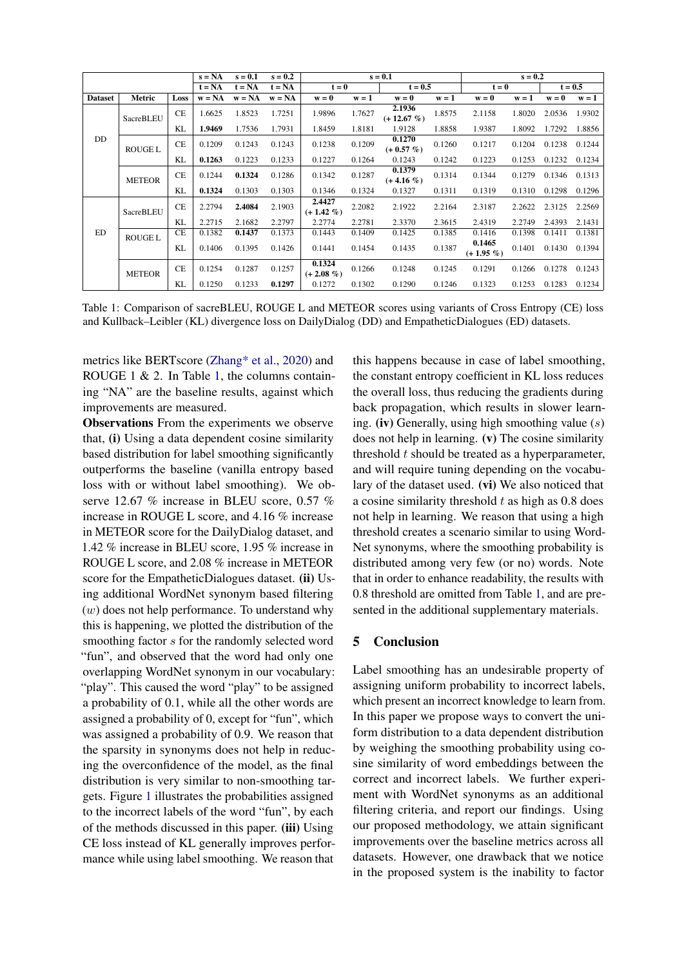<span id="page-3-0"></span>

|                |                |           | $s = NA$ | $s = 0.1$ | $s = 0.2$ |                         |         | $s = 0.1$               |         |                       | $s = 0.2$ |           |         |
|----------------|----------------|-----------|----------|-----------|-----------|-------------------------|---------|-------------------------|---------|-----------------------|-----------|-----------|---------|
|                |                | $t = NA$  | $t = NA$ | $t = NA$  |           | $t = 0$                 |         | $t = 0.5$               |         | $t = 0$               |           | $t = 0.5$ |         |
| <b>Dataset</b> | Metric         | Loss      | $w = NA$ | $w = NA$  | $w = NA$  | $w = 0$                 | $w = 1$ | $w = 0$                 | $w = 1$ | $w = 0$               | $w = 1$   | $w = 0$   | $w = 1$ |
|                | SacreBLEU      | <b>CE</b> | 1.6625   | 1.8523    | 1.7251    | 1.9896                  | 1.7627  | 2.1936<br>$(+ 12.67 %)$ | 1.8575  | 2.1158                | 1.8020    | 2.0536    | 1.9302  |
|                |                | KL        | 1.9469   | 1.7536    | 1.7931    | 1.8459                  | 1.8181  | 1.9128                  | 1.8858  | 1.9387                | 1.8092    | 1.7292    | 1.8856  |
| DD             | <b>ROUGE L</b> | <b>CE</b> | 0.1209   | 0.1243    | 0.1243    | 0.1238                  | 0.1209  | 0.1270<br>$(+ 0.57 %)$  | 0.1260  | 0.1217                | 0.1204    | 0.1238    | 0.1244  |
|                |                | KL        | 0.1263   | 0.1223    | 0.1233    | 0.1227                  | 0.1264  | 0.1243                  | 0.1242  | 0.1223                | 0.1253    | 0.1232    | 0.1234  |
|                | <b>METEOR</b>  | <b>CE</b> | 0.1244   | 0.1324    | 0.1286    | 0.1342                  | 0.1287  | 0.1379<br>$(+4.16\%)$   | 0.1314  | 0.1344                | 0.1279    | 0.1346    | 0.1313  |
|                |                | KL        | 0.1324   | 0.1303    | 0.1303    | 0.1346                  | 0.1324  | 0.1327                  | 0.1311  | 0.1319                | 0.1310    | 0.1298    | 0.1296  |
|                | SacreBLEU      | <b>CE</b> | 2.2794   | 2.4084    | 2.1903    | 2.4427<br>$(+ 1.42\% )$ | 2.2082  | 2.1922                  | 2.2164  | 2.3187                | 2.2622    | 2.3125    | 2.2569  |
|                |                | KL        | 2.2715   | 2.1682    | 2.2797    | 2.2774                  | 2.2781  | 2.3370                  | 2.3615  | 2.4319                | 2.2749    | 2.4393    | 2.1431  |
| ED             | <b>ROUGE L</b> | CE        | 0.1382   | 0.1437    | 0.1373    | 0.1443                  | 0.1409  | 0.1425                  | 0.1385  | 0.1416                | 0.1398    | 0.1411    | 0.1381  |
|                |                | KL        | 0.1406   | 0.1395    | 0.1426    | 0.1441                  | 0.1454  | 0.1435                  | 0.1387  | 0.1465<br>$(+ 1.95 %$ | 0.1401    | 0.1430    | 0.1394  |
|                | <b>METEOR</b>  | <b>CE</b> | 0.1254   | 0.1287    | 0.1257    | 0.1324<br>$(+ 2.08\% )$ | 0.1266  | 0.1248                  | 0.1245  | 0.1291                | 0.1266    | 0.1278    | 0.1243  |
|                |                | KL        | 0.1250   | 0.1233    | 0.1297    | 0.1272                  | 0.1302  | 0.1290                  | 0.1246  | 0.1323                | 0.1253    | 0.1283    | 0.1234  |

Table 1: Comparison of sacreBLEU, ROUGE L and METEOR scores using variants of Cross Entropy (CE) loss and Kullback–Leibler (KL) divergence loss on DailyDialog (DD) and EmpatheticDialogues (ED) datasets.

metrics like BERTscore [\(Zhang\\* et al.,](#page-4-19) [2020\)](#page-4-19) and ROUGE 1 & 2. In Table [1,](#page-3-0) the columns containing "NA" are the baseline results, against which improvements are measured.

Observations From the experiments we observe that, (i) Using a data dependent cosine similarity based distribution for label smoothing significantly outperforms the baseline (vanilla entropy based loss with or without label smoothing). We observe 12.67 % increase in BLEU score, 0.57 % increase in ROUGE L score, and 4.16 % increase in METEOR score for the DailyDialog dataset, and 1.42 % increase in BLEU score, 1.95 % increase in ROUGE L score, and 2.08 % increase in METEOR score for the EmpatheticDialogues dataset. (ii) Using additional WordNet synonym based filtering  $(w)$  does not help performance. To understand why this is happening, we plotted the distribution of the smoothing factor s for the randomly selected word "fun", and observed that the word had only one overlapping WordNet synonym in our vocabulary: "play". This caused the word "play" to be assigned a probability of 0.1, while all the other words are assigned a probability of 0, except for "fun", which was assigned a probability of 0.9. We reason that the sparsity in synonyms does not help in reducing the overconfidence of the model, as the final distribution is very similar to non-smoothing targets. Figure [1](#page-2-0) illustrates the probabilities assigned to the incorrect labels of the word "fun", by each of the methods discussed in this paper. (iii) Using CE loss instead of KL generally improves performance while using label smoothing. We reason that this happens because in case of label smoothing, the constant entropy coefficient in KL loss reduces the overall loss, thus reducing the gradients during back propagation, which results in slower learning. (iv) Generally, using high smoothing value  $(s)$ does not help in learning. (v) The cosine similarity threshold  $t$  should be treated as a hyperparameter, and will require tuning depending on the vocabulary of the dataset used. (vi) We also noticed that a cosine similarity threshold  $t$  as high as 0.8 does not help in learning. We reason that using a high threshold creates a scenario similar to using Word-Net synonyms, where the smoothing probability is distributed among very few (or no) words. Note that in order to enhance readability, the results with 0.8 threshold are omitted from Table [1,](#page-3-0) and are presented in the additional supplementary materials.

## 5 Conclusion

Label smoothing has an undesirable property of assigning uniform probability to incorrect labels, which present an incorrect knowledge to learn from. In this paper we propose ways to convert the uniform distribution to a data dependent distribution by weighing the smoothing probability using cosine similarity of word embeddings between the correct and incorrect labels. We further experiment with WordNet synonyms as an additional filtering criteria, and report our findings. Using our proposed methodology, we attain significant improvements over the baseline metrics across all datasets. However, one drawback that we notice in the proposed system is the inability to factor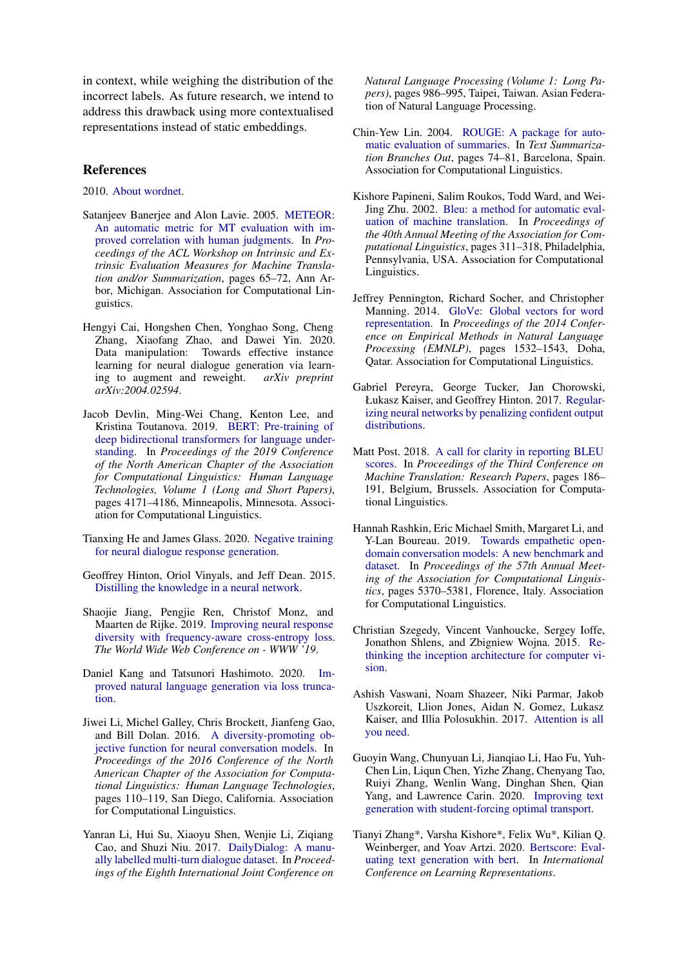in context, while weighing the distribution of the incorrect labels. As future research, we intend to address this drawback using more contextualised representations instead of static embeddings.

### References

<span id="page-4-12"></span>2010. [About wordnet.](https://wordnet.princeton.edu/)

- <span id="page-4-18"></span>Satanjeev Banerjee and Alon Lavie. 2005. [METEOR:](https://www.aclweb.org/anthology/W05-0909) [An automatic metric for MT evaluation with im](https://www.aclweb.org/anthology/W05-0909)[proved correlation with human judgments.](https://www.aclweb.org/anthology/W05-0909) In *Proceedings of the ACL Workshop on Intrinsic and Extrinsic Evaluation Measures for Machine Translation and/or Summarization*, pages 65–72, Ann Arbor, Michigan. Association for Computational Linguistics.
- <span id="page-4-7"></span>Hengyi Cai, Hongshen Chen, Yonghao Song, Cheng Zhang, Xiaofang Zhao, and Dawei Yin. 2020. Data manipulation: Towards effective instance learning for neural dialogue generation via learning to augment and reweight. *arXiv preprint arXiv:2004.02594*.
- <span id="page-4-8"></span>Jacob Devlin, Ming-Wei Chang, Kenton Lee, and Kristina Toutanova. 2019. [BERT: Pre-training of](https://doi.org/10.18653/v1/N19-1423) [deep bidirectional transformers for language under](https://doi.org/10.18653/v1/N19-1423)[standing.](https://doi.org/10.18653/v1/N19-1423) In *Proceedings of the 2019 Conference of the North American Chapter of the Association for Computational Linguistics: Human Language Technologies, Volume 1 (Long and Short Papers)*, pages 4171–4186, Minneapolis, Minnesota. Association for Computational Linguistics.
- <span id="page-4-10"></span>Tianxing He and James Glass. 2020. [Negative training](http://arxiv.org/abs/1903.02134) [for neural dialogue response generation.](http://arxiv.org/abs/1903.02134)
- <span id="page-4-3"></span>Geoffrey Hinton, Oriol Vinyals, and Jeff Dean. 2015. [Distilling the knowledge in a neural network.](http://arxiv.org/abs/1503.02531)
- <span id="page-4-5"></span>Shaojie Jiang, Pengjie Ren, Christof Monz, and Maarten de Rijke. 2019. [Improving neural response](https://doi.org/10.1145/3308558.3313415) [diversity with frequency-aware cross-entropy loss.](https://doi.org/10.1145/3308558.3313415) *The World Wide Web Conference on - WWW '19*.
- <span id="page-4-9"></span>Daniel Kang and Tatsunori Hashimoto. 2020. [Im](http://arxiv.org/abs/2004.14589)[proved natural language generation via loss trunca](http://arxiv.org/abs/2004.14589)[tion.](http://arxiv.org/abs/2004.14589)
- <span id="page-4-4"></span>Jiwei Li, Michel Galley, Chris Brockett, Jianfeng Gao, and Bill Dolan. 2016. [A diversity-promoting ob](https://doi.org/10.18653/v1/N16-1014)[jective function for neural conversation models.](https://doi.org/10.18653/v1/N16-1014) In *Proceedings of the 2016 Conference of the North American Chapter of the Association for Computational Linguistics: Human Language Technologies*, pages 110–119, San Diego, California. Association for Computational Linguistics.
- <span id="page-4-13"></span>Yanran Li, Hui Su, Xiaoyu Shen, Wenjie Li, Ziqiang Cao, and Shuzi Niu. 2017. [DailyDialog: A manu](https://www.aclweb.org/anthology/I17-1099)[ally labelled multi-turn dialogue dataset.](https://www.aclweb.org/anthology/I17-1099) In *Proceedings of the Eighth International Joint Conference on*

*Natural Language Processing (Volume 1: Long Papers)*, pages 986–995, Taipei, Taiwan. Asian Federation of Natural Language Processing.

- <span id="page-4-17"></span>Chin-Yew Lin. 2004. [ROUGE: A package for auto](https://www.aclweb.org/anthology/W04-1013)[matic evaluation of summaries.](https://www.aclweb.org/anthology/W04-1013) In *Text Summarization Branches Out*, pages 74–81, Barcelona, Spain. Association for Computational Linguistics.
- <span id="page-4-16"></span>Kishore Papineni, Salim Roukos, Todd Ward, and Wei-Jing Zhu. 2002. [Bleu: a method for automatic eval](https://doi.org/10.3115/1073083.1073135)[uation of machine translation.](https://doi.org/10.3115/1073083.1073135) In *Proceedings of the 40th Annual Meeting of the Association for Computational Linguistics*, pages 311–318, Philadelphia, Pennsylvania, USA. Association for Computational Linguistics.
- <span id="page-4-11"></span>Jeffrey Pennington, Richard Socher, and Christopher Manning. 2014. [GloVe: Global vectors for word](https://doi.org/10.3115/v1/D14-1162) [representation.](https://doi.org/10.3115/v1/D14-1162) In *Proceedings of the 2014 Conference on Empirical Methods in Natural Language Processing (EMNLP)*, pages 1532–1543, Doha, Qatar. Association for Computational Linguistics.
- <span id="page-4-2"></span>Gabriel Pereyra, George Tucker, Jan Chorowski, Łukasz Kaiser, and Geoffrey Hinton. 2017. [Regular](http://arxiv.org/abs/1701.06548)[izing neural networks by penalizing confident output](http://arxiv.org/abs/1701.06548) [distributions.](http://arxiv.org/abs/1701.06548)
- <span id="page-4-15"></span>Matt Post. 2018. [A call for clarity in reporting BLEU](https://www.aclweb.org/anthology/W18-6319) [scores.](https://www.aclweb.org/anthology/W18-6319) In *Proceedings of the Third Conference on Machine Translation: Research Papers*, pages 186– 191, Belgium, Brussels. Association for Computational Linguistics.
- <span id="page-4-14"></span>Hannah Rashkin, Eric Michael Smith, Margaret Li, and Y-Lan Boureau. 2019. [Towards empathetic open](https://doi.org/10.18653/v1/P19-1534)[domain conversation models: A new benchmark and](https://doi.org/10.18653/v1/P19-1534) [dataset.](https://doi.org/10.18653/v1/P19-1534) In *Proceedings of the 57th Annual Meeting of the Association for Computational Linguistics*, pages 5370–5381, Florence, Italy. Association for Computational Linguistics.
- <span id="page-4-0"></span>Christian Szegedy, Vincent Vanhoucke, Sergey Ioffe, Jonathon Shlens, and Zbigniew Wojna. 2015. [Re](http://arxiv.org/abs/1512.00567)[thinking the inception architecture for computer vi](http://arxiv.org/abs/1512.00567)[sion.](http://arxiv.org/abs/1512.00567)
- <span id="page-4-1"></span>Ashish Vaswani, Noam Shazeer, Niki Parmar, Jakob Uszkoreit, Llion Jones, Aidan N. Gomez, Lukasz Kaiser, and Illia Polosukhin. 2017. [Attention is all](http://arxiv.org/abs/1706.03762) [you need.](http://arxiv.org/abs/1706.03762)
- <span id="page-4-6"></span>Guoyin Wang, Chunyuan Li, Jianqiao Li, Hao Fu, Yuh-Chen Lin, Liqun Chen, Yizhe Zhang, Chenyang Tao, Ruiyi Zhang, Wenlin Wang, Dinghan Shen, Qian Yang, and Lawrence Carin. 2020. [Improving text](http://arxiv.org/abs/2010.05994) [generation with student-forcing optimal transport.](http://arxiv.org/abs/2010.05994)
- <span id="page-4-19"></span>Tianyi Zhang\*, Varsha Kishore\*, Felix Wu\*, Kilian Q. Weinberger, and Yoav Artzi. 2020. [Bertscore: Eval](https://openreview.net/forum?id=SkeHuCVFDr)[uating text generation with bert.](https://openreview.net/forum?id=SkeHuCVFDr) In *International Conference on Learning Representations*.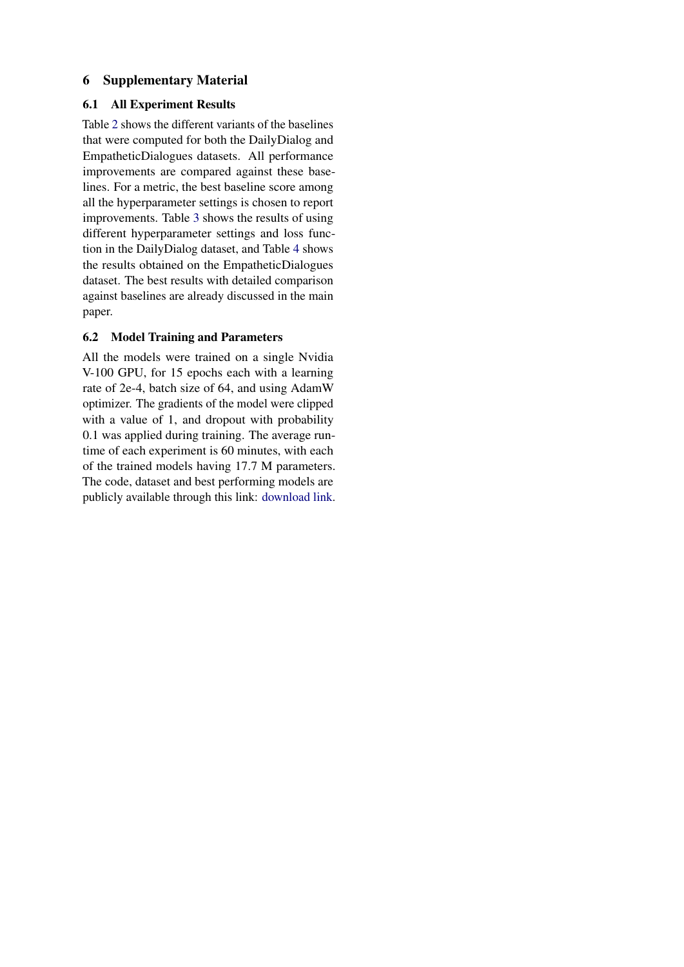# 6 Supplementary Material

## 6.1 All Experiment Results

Table [2](#page-6-0) shows the different variants of the baselines that were computed for both the DailyDialog and EmpatheticDialogues datasets. All performance improvements are compared against these baselines. For a metric, the best baseline score among all the hyperparameter settings is chosen to report improvements. Table [3](#page-6-1) shows the results of using different hyperparameter settings and loss function in the DailyDialog dataset, and Table [4](#page-6-2) shows the results obtained on the EmpatheticDialogues dataset. The best results with detailed comparison against baselines are already discussed in the main paper.

## 6.2 Model Training and Parameters

All the models were trained on a single Nvidia V-100 GPU, for 15 epochs each with a learning rate of 2e-4, batch size of 64, and using AdamW optimizer. The gradients of the model were clipped with a value of 1, and dropout with probability 0.1 was applied during training. The average runtime of each experiment is 60 minutes, with each of the trained models having 17.7 M parameters. The code, dataset and best performing models are publicly available through this link: [download link.](https://drive.google.com/file/d/1--w7x3QY1rbx4Byfb9DW4pUlVEK1s277/view?usp=sharing)